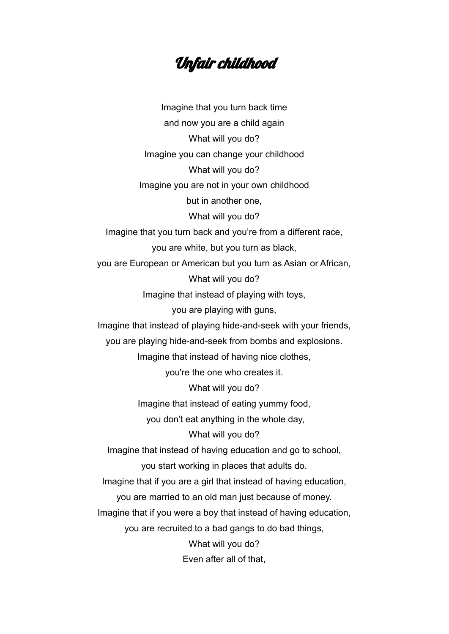## Unfair childhood

Imagine that you turn back time and now you are a child again What will you do? Imagine you can change your childhood What will you do? Imagine you are not in your own childhood but in another one, What will you do? Imagine that you turn back and you're from a different race, you are white, but you turn as black, you are European or American but you turn as Asian or African, What will you do? Imagine that instead of playing with toys, you are playing with guns, Imagine that instead of playing hide-and-seek with your friends, you are playing hide-and-seek from bombs and explosions. Imagine that instead of having nice clothes, you're the one who creates it. What will you do? Imagine that instead of eating yummy food, you don't eat anything in the whole day, What will you do? Imagine that instead of having education and go to school, you start working in places that adults do. Imagine that if you are a girl that instead of having education, you are married to an old man just because of money. Imagine that if you were a boy that instead of having education, you are recruited to a bad gangs to do bad things, What will you do? Even after all of that,